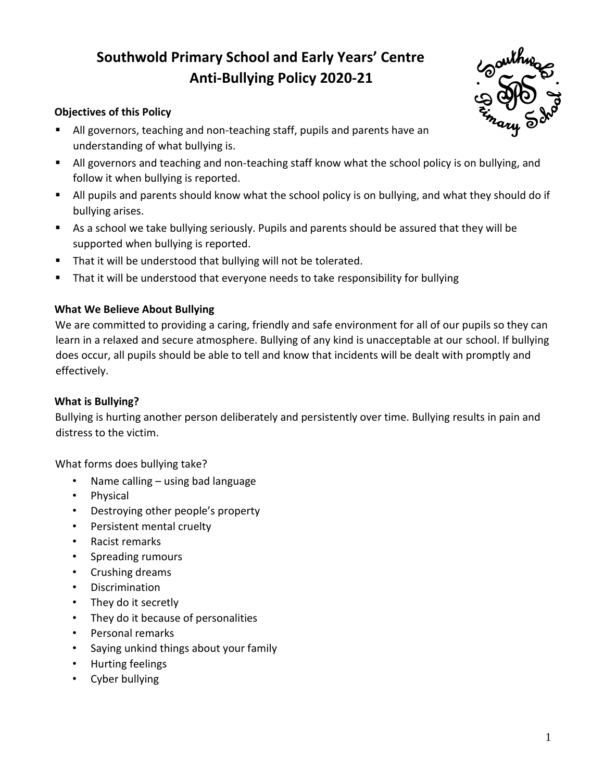# **Southwold Primary School and Early Years' Centre Anti-Bullying Policy 2020-21**

# **Objectives of this Policy**

- All governors, teaching and non-teaching staff, pupils and parents have an understanding of what bullying is.
- All governors and teaching and non-teaching staff know what the school policy is on bullying, and follow it when bullying is reported.
- All pupils and parents should know what the school policy is on bullying, and what they should do if bullying arises.
- As a school we take bullying seriously. Pupils and parents should be assured that they will be supported when bullying is reported.
- That it will be understood that bullying will not be tolerated.
- That it will be understood that everyone needs to take responsibility for bullying

## **What We Believe About Bullying**

We are committed to providing a caring, friendly and safe environment for all of our pupils so they can learn in a relaxed and secure atmosphere. Bullying of any kind is unacceptable at our school. If bullying does occur, all pupils should be able to tell and know that incidents will be dealt with promptly and effectively.

#### **What is Bullying?**

Bullying is hurting another person deliberately and persistently over time. Bullying results in pain and distress to the victim.

What forms does bullying take?

- Name calling using bad language
- Physical
- Destroying other people's property
- Persistent mental cruelty
- Racist remarks
- Spreading rumours
- Crushing dreams
- Discrimination
- They do it secretly
- They do it because of personalities
- Personal remarks
- Saying unkind things about your family
- Hurting feelings
- Cyber bullying

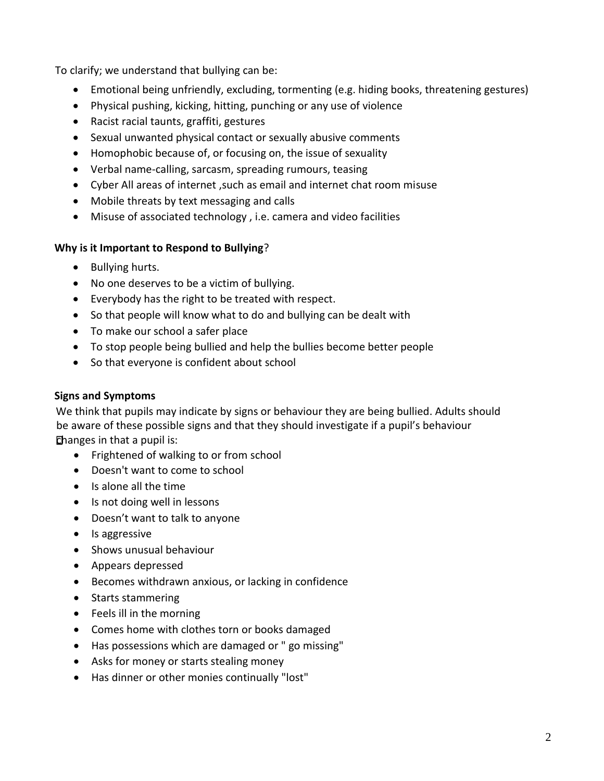To clarify; we understand that bullying can be:

- Emotional being unfriendly, excluding, tormenting (e.g. hiding books, threatening gestures)
- Physical pushing, kicking, hitting, punching or any use of violence
- Racist racial taunts, graffiti, gestures
- Sexual unwanted physical contact or sexually abusive comments
- Homophobic because of, or focusing on, the issue of sexuality
- Verbal name-calling, sarcasm, spreading rumours, teasing
- Cyber All areas of internet ,such as email and internet chat room misuse
- Mobile threats by text messaging and calls
- Misuse of associated technology , i.e. camera and video facilities

#### **Why is it Important to Respond to Bullying**?

- Bullying hurts.
- No one deserves to be a victim of bullying.
- Everybody has the right to be treated with respect.
- So that people will know what to do and bullying can be dealt with
- To make our school a safer place
- To stop people being bullied and help the bullies become better people
- So that everyone is confident about school

### **Signs and Symptoms**

We think that pupils may indicate by signs or behaviour they are being bullied. Adults should be aware of these possible signs and that they should investigate if a pupil's behaviour changes in that a pupil is:

- Frightened of walking to or from school
- Doesn't want to come to school
- Is alone all the time
- Is not doing well in lessons
- Doesn't want to talk to anyone
- Is aggressive
- Shows unusual behaviour
- Appears depressed
- Becomes withdrawn anxious, or lacking in confidence
- Starts stammering
- Feels ill in the morning
- Comes home with clothes torn or books damaged
- Has possessions which are damaged or " go missing"
- Asks for money or starts stealing money
- Has dinner or other monies continually "lost"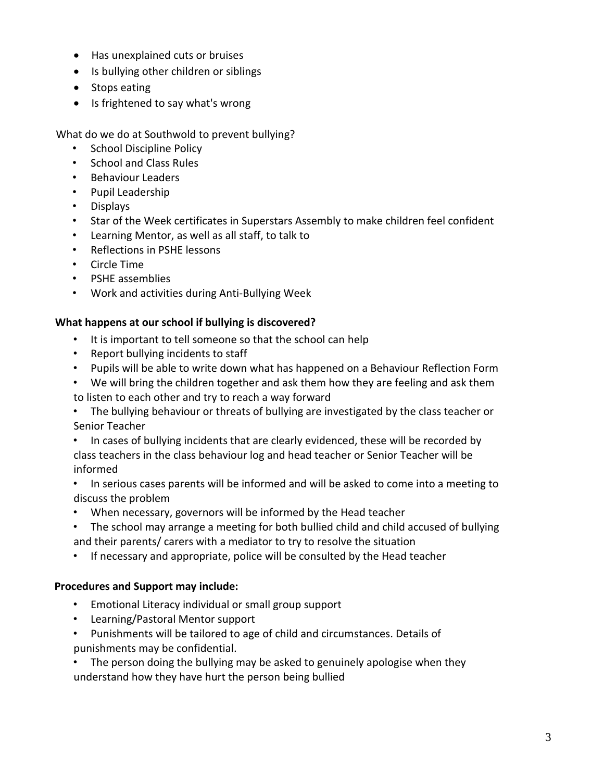- Has unexplained cuts or bruises
- Is bullying other children or siblings
- Stops eating
- Is frightened to say what's wrong

What do we do at Southwold to prevent bullying?

- School Discipline Policy
- School and Class Rules
- Behaviour Leaders
- Pupil Leadership
- Displays
- Star of the Week certificates in Superstars Assembly to make children feel confident
- Learning Mentor, as well as all staff, to talk to
- Reflections in PSHE lessons
- Circle Time
- PSHE assemblies
- Work and activities during Anti-Bullying Week

#### **What happens at our school if bullying is discovered?**

- It is important to tell someone so that the school can help
- Report bullying incidents to staff
- Pupils will be able to write down what has happened on a Behaviour Reflection Form
- We will bring the children together and ask them how they are feeling and ask them to listen to each other and try to reach a way forward
- The bullying behaviour or threats of bullying are investigated by the class teacher or Senior Teacher
- In cases of bullying incidents that are clearly evidenced, these will be recorded by class teachers in the class behaviour log and head teacher or Senior Teacher will be informed
- In serious cases parents will be informed and will be asked to come into a meeting to discuss the problem
- When necessary, governors will be informed by the Head teacher
- The school may arrange a meeting for both bullied child and child accused of bullying and their parents/ carers with a mediator to try to resolve the situation
- If necessary and appropriate, police will be consulted by the Head teacher

#### **Procedures and Support may include:**

- Emotional Literacy individual or small group support
- Learning/Pastoral Mentor support
- Punishments will be tailored to age of child and circumstances. Details of punishments may be confidential.
- The person doing the bullying may be asked to genuinely apologise when they understand how they have hurt the person being bullied